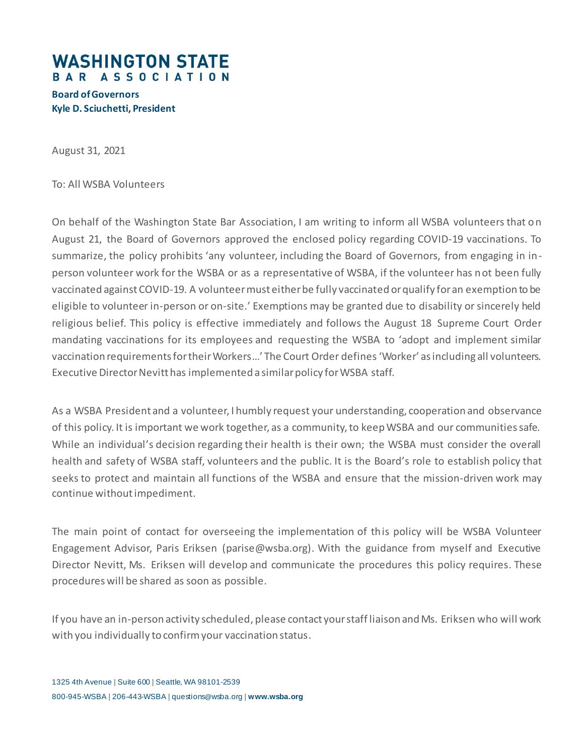## **WASHINGTON STATE** BAR ASSOCIATION

## **Board of Governors Kyle D. Sciuchetti, President**

August 31, 2021

To: All WSBA Volunteers

On behalf of the Washington State Bar Association, I am writing to inform all WSBA volunteers that on August 21, the Board of Governors approved the enclosed policy regarding COVID-19 vaccinations. To summarize, the policy prohibits 'any volunteer, including the Board of Governors, from engaging in inperson volunteer work for the WSBA or as a representative of WSBA, if the volunteer has not been fully vaccinated against COVID-19. A volunteer must either be fully vaccinated or qualify for an exemption to be eligible to volunteer in-person or on-site.' Exemptions may be granted due to disability or sincerely held religious belief. This policy is effective immediately and follows the August 18 Supreme Court Order mandating vaccinations for its employees and requesting the WSBA to 'adopt and implement similar vaccination requirements for their Workers…' The Court Order defines 'Worker' as including all volunteers. Executive Director Nevitt has implemented a similar policy for WSBA staff.

As a WSBA President and a volunteer, I humbly request your understanding, cooperation and observance of this policy. It is important we work together, as a community, to keep WSBA and our communities safe. While an individual's decision regarding their health is their own; the WSBA must consider the overall health and safety of WSBA staff, volunteers and the public. It is the Board's role to establish policy that seeks to protect and maintain all functions of the WSBA and ensure that the mission-driven work may continue without impediment.

The main point of contact for overseeing the implementation of this policy will be WSBA Volunteer Engagement Advisor, Paris Eriksen (parise@wsba.org). With the guidance from myself and Executive Director Nevitt, Ms. Eriksen will develop and communicate the procedures this policy requires. These procedures will be shared as soon as possible.

If you have an in-person activity scheduled, please contact your staff liaison and Ms. Eriksen who will work with you individually to confirm your vaccination status.